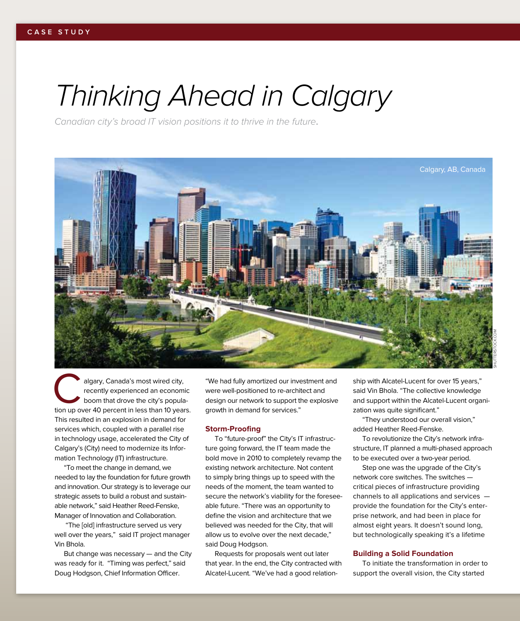# *Thinking Ahead in Calgary*

*Canadian city's broad IT vision positions it to thrive in the future*.



algary, Canada's most wired city,<br>
recently experienced an economic<br>
boom that drove the city's popula-<br>
tion up over 40 percent in less than 10 years. recently experienced an economic boom that drove the city's popula-This resulted in an explosion in demand for services which, coupled with a parallel rise in technology usage, accelerated the City of Calgary's (City) need to modernize its Information Technology (IT) infrastructure.

"To meet the change in demand, we needed to lay the foundation for future growth and innovation. Our strategy is to leverage our strategic assets to build a robust and sustainable network," said Heather Reed-Fenske, Manager of Innovation and Collaboration.

 "The [old] infrastructure served us very well over the years," said IT project manager Vin Bhola.

But change was necessary — and the City was ready for it. "Timing was perfect," said Doug Hodgson, Chief Information Officer.

"We had fully amortized our investment and were well-positioned to re-architect and design our network to support the explosive growth in demand for services."

#### **Storm-Proofing**

To "future-proof" the City's IT infrastructure going forward, the IT team made the bold move in 2010 to completely revamp the existing network architecture. Not content to simply bring things up to speed with the needs of the moment, the team wanted to secure the network's viability for the foreseeable future. "There was an opportunity to define the vision and architecture that we believed was needed for the City, that will allow us to evolve over the next decade," said Doug Hodgson.

Requests for proposals went out later that year. In the end, the City contracted with Alcatel-Lucent. "We've had a good relation-

ship with Alcatel-Lucent for over 15 years," said Vin Bhola. "The collective knowledge and support within the Alcatel-Lucent organization was quite significant."

"They understood our overall vision," added Heather Reed-Fenske.

To revolutionize the City's network infrastructure, IT planned a multi-phased approach to be executed over a two-year period.

Step one was the upgrade of the City's network core switches. The switches critical pieces of infrastructure providing channels to all applications and services provide the foundation for the City's enterprise network, and had been in place for almost eight years. It doesn't sound long, but technologically speaking it's a lifetime

### **Building a Solid Foundation**

To initiate the transformation in order to support the overall vision, the City started